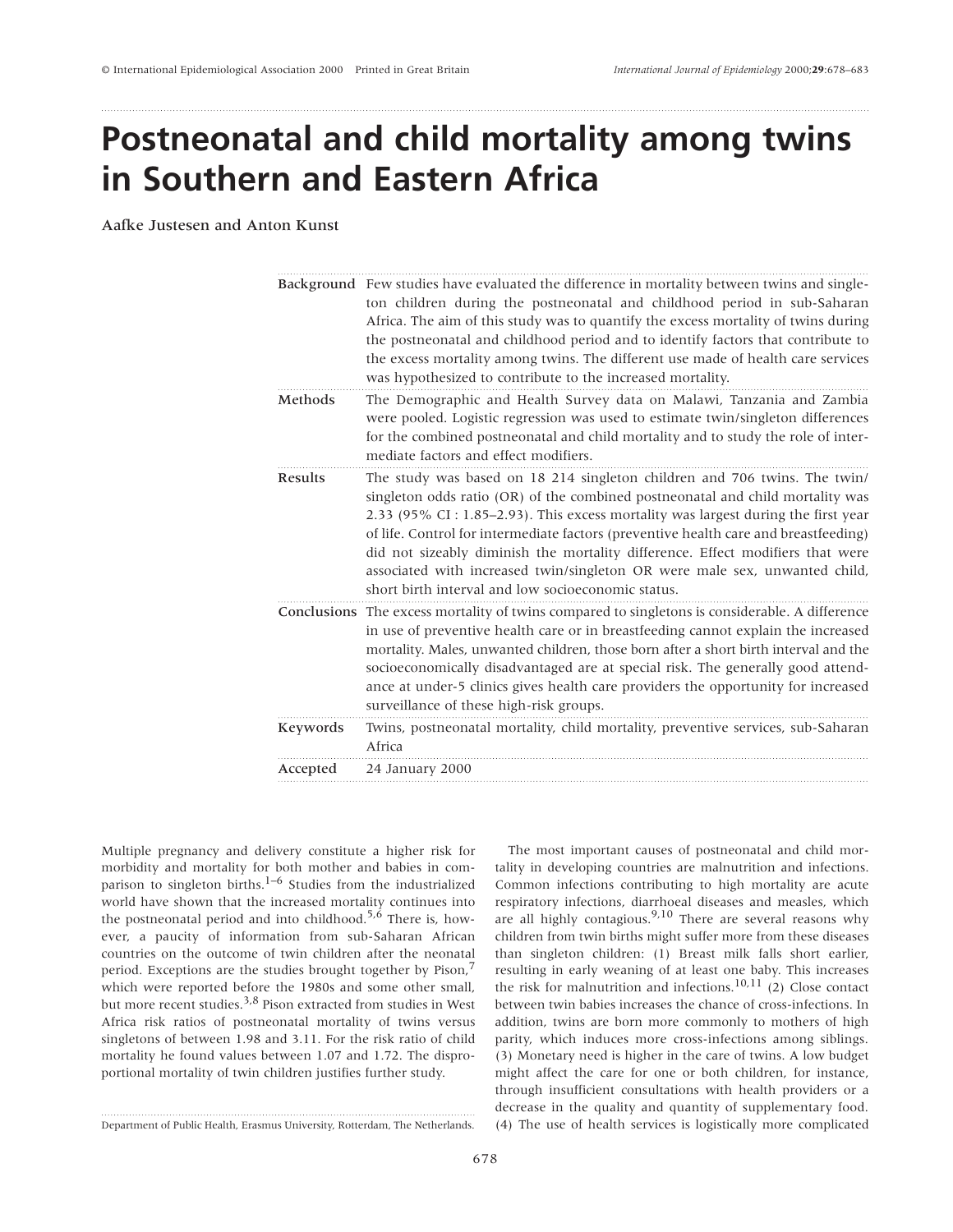# **Postneonatal and child mortality among twins in Southern and Eastern Africa**

Aafke Justesen and Anton Kunst

|          | Background Few studies have evaluated the difference in mortality between twins and single-<br>ton children during the postneonatal and childhood period in sub-Saharan<br>Africa. The aim of this study was to quantify the excess mortality of twins during<br>the postneonatal and childhood period and to identify factors that contribute to<br>the excess mortality among twins. The different use made of health care services<br>was hypothesized to contribute to the increased mortality.                                                            |
|----------|----------------------------------------------------------------------------------------------------------------------------------------------------------------------------------------------------------------------------------------------------------------------------------------------------------------------------------------------------------------------------------------------------------------------------------------------------------------------------------------------------------------------------------------------------------------|
| Methods  | The Demographic and Health Survey data on Malawi, Tanzania and Zambia<br>were pooled. Logistic regression was used to estimate twin/singleton differences<br>for the combined postneonatal and child mortality and to study the role of inter-<br>mediate factors and effect modifiers.                                                                                                                                                                                                                                                                        |
| Results  | The study was based on 18 214 singleton children and 706 twins. The twin/<br>singleton odds ratio (OR) of the combined postneonatal and child mortality was<br>2.33 (95% CI: 1.85–2.93). This excess mortality was largest during the first year<br>of life. Control for intermediate factors (preventive health care and breastfeeding)<br>did not sizeably diminish the mortality difference. Effect modifiers that were<br>associated with increased twin/singleton OR were male sex, unwanted child,<br>short birth interval and low socioeconomic status. |
|          | Conclusions The excess mortality of twins compared to singletons is considerable. A difference<br>in use of preventive health care or in breastfeeding cannot explain the increased<br>mortality. Males, unwanted children, those born after a short birth interval and the<br>socioeconomically disadvantaged are at special risk. The generally good attend-<br>ance at under-5 clinics gives health care providers the opportunity for increased<br>surveillance of these high-risk groups.                                                                 |
| Keywords | Twins, postneonatal mortality, child mortality, preventive services, sub-Saharan<br>Africa                                                                                                                                                                                                                                                                                                                                                                                                                                                                     |
| Accepted | 24 January 2000                                                                                                                                                                                                                                                                                                                                                                                                                                                                                                                                                |
|          |                                                                                                                                                                                                                                                                                                                                                                                                                                                                                                                                                                |

Multiple pregnancy and delivery constitute a higher risk for morbidity and mortality for both mother and babies in comparison to singleton births.<sup>1–6</sup> Studies from the industrialized world have shown that the increased mortality continues into the postneonatal period and into childhood.<sup>5, $\delta$ </sup> There is, however, a paucity of information from sub-Saharan African countries on the outcome of twin children after the neonatal period. Exceptions are the studies brought together by Pison, $\overline{7}$ which were reported before the 1980s and some other small, but more recent studies.<sup>3,8</sup> Pison extracted from studies in West Africa risk ratios of postneonatal mortality of twins versus singletons of between 1.98 and 3.11. For the risk ratio of child mortality he found values between 1.07 and 1.72. The disproportional mortality of twin children justifies further study.

Department of Public Health, Erasmus University, Rotterdam, The Netherlands.

The most important causes of postneonatal and child mortality in developing countries are malnutrition and infections. Common infections contributing to high mortality are acute respiratory infections, diarrhoeal diseases and measles, which are all highly contagious.<sup>9,10</sup> There are several reasons why children from twin births might suffer more from these diseases than singleton children: (1) Breast milk falls short earlier, resulting in early weaning of at least one baby. This increases the risk for malnutrition and infections.<sup>10,11</sup> (2) Close contact between twin babies increases the chance of cross-infections. In addition, twins are born more commonly to mothers of high parity, which induces more cross-infections among siblings. (3) Monetary need is higher in the care of twins. A low budget might affect the care for one or both children, for instance, through insufficient consultations with health providers or a decrease in the quality and quantity of supplementary food. (4) The use of health services is logistically more complicated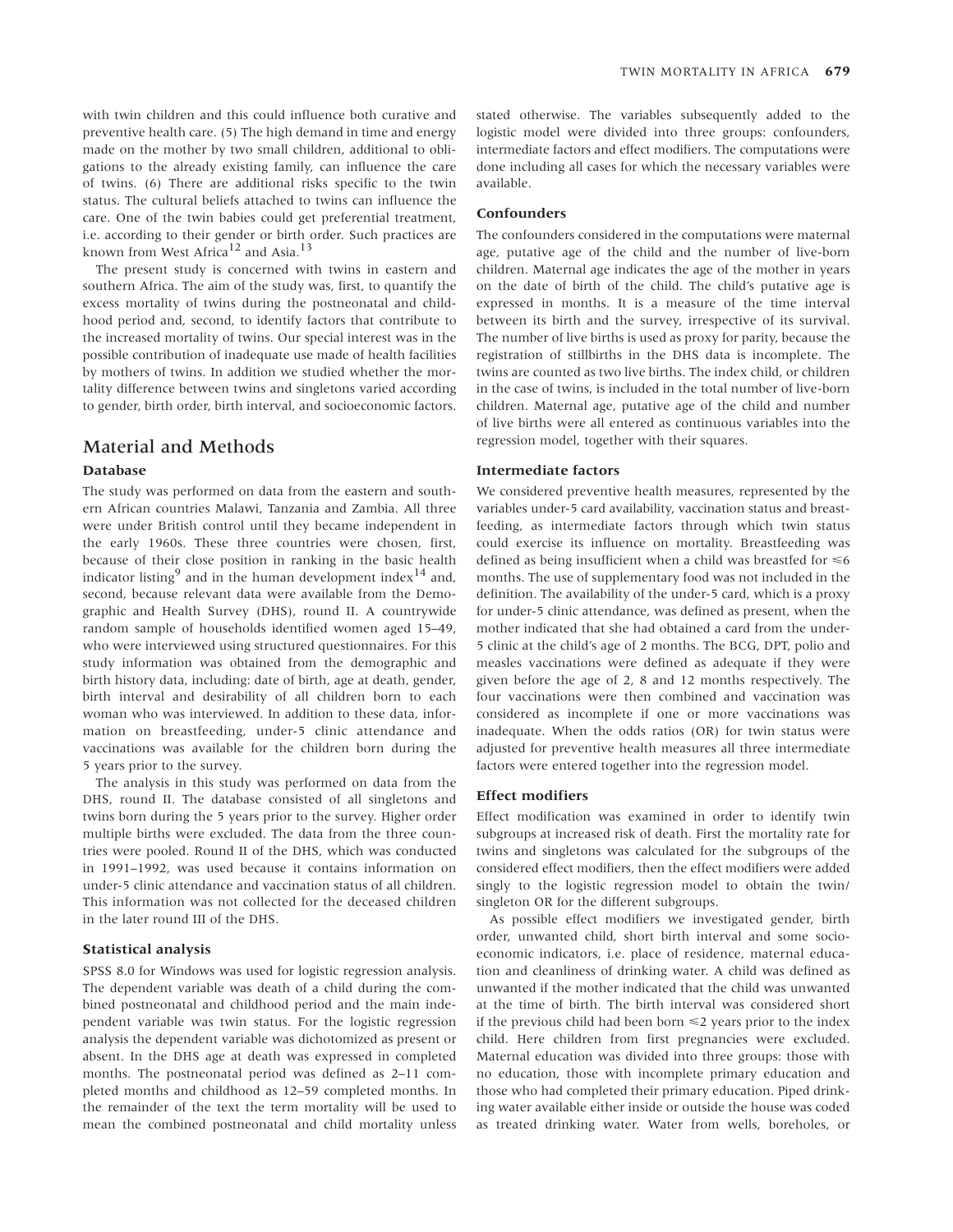with twin children and this could influence both curative and preventive health care. (5) The high demand in time and energy made on the mother by two small children, additional to obligations to the already existing family, can influence the care of twins. (6) There are additional risks specific to the twin status. The cultural beliefs attached to twins can influence the care. One of the twin babies could get preferential treatment, i.e. according to their gender or birth order. Such practices are known from West Africa<sup>12</sup> and Asia.<sup>13</sup>

The present study is concerned with twins in eastern and southern Africa. The aim of the study was, first, to quantify the excess mortality of twins during the postneonatal and childhood period and, second, to identify factors that contribute to the increased mortality of twins. Our special interest was in the possible contribution of inadequate use made of health facilities by mothers of twins. In addition we studied whether the mortality difference between twins and singletons varied according to gender, birth order, birth interval, and socioeconomic factors.

## Material and Methods

## **Database**

The study was performed on data from the eastern and southern African countries Malawi, Tanzania and Zambia. All three were under British control until they became independent in the early 1960s. These three countries were chosen, first, because of their close position in ranking in the basic health indicator listing<sup>9</sup> and in the human development index<sup>14</sup> and, second, because relevant data were available from the Demographic and Health Survey (DHS), round II. A countrywide random sample of households identified women aged 15–49, who were interviewed using structured questionnaires. For this study information was obtained from the demographic and birth history data, including: date of birth, age at death, gender, birth interval and desirability of all children born to each woman who was interviewed. In addition to these data, information on breastfeeding, under-5 clinic attendance and vaccinations was available for the children born during the 5 years prior to the survey.

The analysis in this study was performed on data from the DHS, round II. The database consisted of all singletons and twins born during the 5 years prior to the survey. Higher order multiple births were excluded. The data from the three countries were pooled. Round II of the DHS, which was conducted in 1991–1992, was used because it contains information on under-5 clinic attendance and vaccination status of all children. This information was not collected for the deceased children in the later round III of the DHS.

## **Statistical analysis**

SPSS 8.0 for Windows was used for logistic regression analysis. The dependent variable was death of a child during the combined postneonatal and childhood period and the main independent variable was twin status. For the logistic regression analysis the dependent variable was dichotomized as present or absent. In the DHS age at death was expressed in completed months. The postneonatal period was defined as 2–11 completed months and childhood as 12–59 completed months. In the remainder of the text the term mortality will be used to mean the combined postneonatal and child mortality unless stated otherwise. The variables subsequently added to the logistic model were divided into three groups: confounders, intermediate factors and effect modifiers. The computations were done including all cases for which the necessary variables were available.

## **Confounders**

The confounders considered in the computations were maternal age, putative age of the child and the number of live-born children. Maternal age indicates the age of the mother in years on the date of birth of the child. The child's putative age is expressed in months. It is a measure of the time interval between its birth and the survey, irrespective of its survival. The number of live births is used as proxy for parity, because the registration of stillbirths in the DHS data is incomplete. The twins are counted as two live births. The index child, or children in the case of twins, is included in the total number of live-born children. Maternal age, putative age of the child and number of live births were all entered as continuous variables into the regression model, together with their squares.

### **Intermediate factors**

We considered preventive health measures, represented by the variables under-5 card availability, vaccination status and breastfeeding, as intermediate factors through which twin status could exercise its influence on mortality. Breastfeeding was defined as being insufficient when a child was breastfed for  $\leq 6$ months. The use of supplementary food was not included in the definition. The availability of the under-5 card, which is a proxy for under-5 clinic attendance, was defined as present, when the mother indicated that she had obtained a card from the under-5 clinic at the child's age of 2 months. The BCG, DPT, polio and measles vaccinations were defined as adequate if they were given before the age of 2, 8 and 12 months respectively. The four vaccinations were then combined and vaccination was considered as incomplete if one or more vaccinations was inadequate. When the odds ratios (OR) for twin status were adjusted for preventive health measures all three intermediate factors were entered together into the regression model.

### **Effect modifiers**

Effect modification was examined in order to identify twin subgroups at increased risk of death. First the mortality rate for twins and singletons was calculated for the subgroups of the considered effect modifiers, then the effect modifiers were added singly to the logistic regression model to obtain the twin/ singleton OR for the different subgroups.

As possible effect modifiers we investigated gender, birth order, unwanted child, short birth interval and some socioeconomic indicators, i.e. place of residence, maternal education and cleanliness of drinking water. A child was defined as unwanted if the mother indicated that the child was unwanted at the time of birth. The birth interval was considered short if the previous child had been born  $\leq 2$  years prior to the index child. Here children from first pregnancies were excluded. Maternal education was divided into three groups: those with no education, those with incomplete primary education and those who had completed their primary education. Piped drinking water available either inside or outside the house was coded as treated drinking water. Water from wells, boreholes, or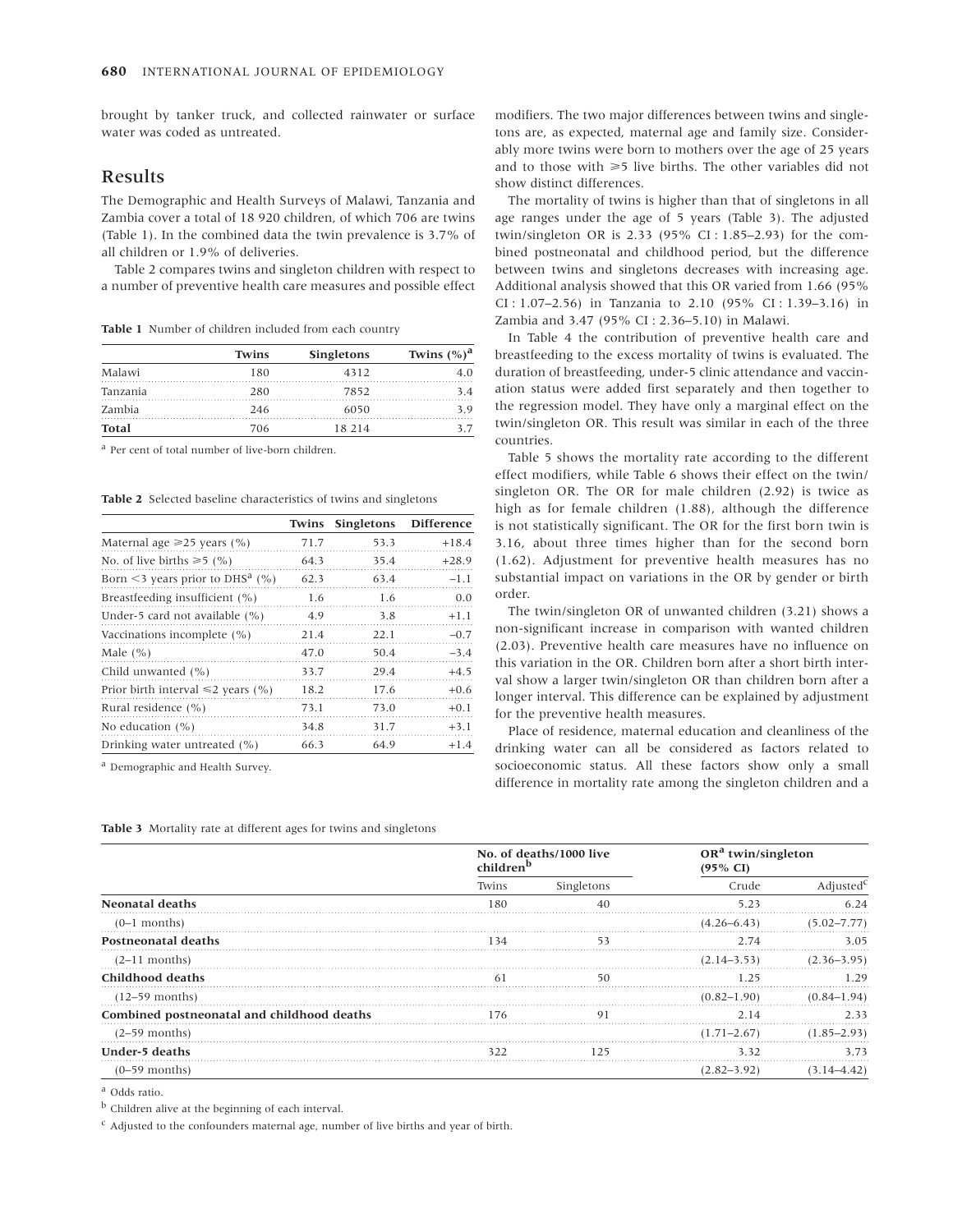brought by tanker truck, and collected rainwater or surface water was coded as untreated.

## Results

The Demographic and Health Surveys of Malawi, Tanzania and Zambia cover a total of 18 920 children, of which 706 are twins (Table 1). In the combined data the twin prevalence is 3.7% of all children or 1.9% of deliveries.

Table 2 compares twins and singleton children with respect to a number of preventive health care measures and possible effect

**Table 1** Number of children included from each country

|              | Twins | <b>Singletons</b> | Twins $(\%)^a$ |
|--------------|-------|-------------------|----------------|
| Malawi       | 180   | 4312              |                |
| Tanzania     | 280   | 7852              | 34             |
| Zambia       | 246   | 6050              |                |
| <b>Total</b> | 706   | 18 214            |                |

<sup>a</sup> Per cent of total number of live-born children.

**Table 2** Selected baseline characteristics of twins and singletons

|                                             | <b>Twins</b> | <b>Singletons</b> | <b>Difference</b> |
|---------------------------------------------|--------------|-------------------|-------------------|
| Maternal age $\geq 25$ years (%)            | 71.7         | 53.3              | $+18.4$           |
| No. of live births $\ge 5$ (%)              | 64.3         | 35.4              | $+28.9$           |
| Born <3 years prior to DHS <sup>a</sup> (%) | 62.3         | 63.4              | $-1.1$            |
| Breastfeeding insufficient (%)              | 1.6          | 1.6               | 0.0               |
| Under-5 card not available (%)              | 4.9          | 3.8               | $+1.1$            |
| Vaccinations incomplete (%)                 | 21.4         | 22.1              | $-0.7$            |
| Male $(\% )$                                | 47.0         | 50.4              | $-3.4$            |
| Child unwanted (%)                          | 33.7         | 29.4              | $+4.5$            |
| Prior birth interval $\leq 2$ years (%)     | 18.2         | 17.6              | $+0.6$            |
| Rural residence (%)                         | 73.1         | 73.0              | $+0.1$            |
| No education $(\% )$                        | 34.8         | 31.7              | $+3.1$            |
| Drinking water untreated (%)                | 66.3         | 64.9              | $+1.4$            |

<sup>a</sup> Demographic and Health Survey.

**Table 3** Mortality rate at different ages for twins and singletons

modifiers. The two major differences between twins and singletons are, as expected, maternal age and family size. Considerably more twins were born to mothers over the age of 25 years and to those with  $\geq 5$  live births. The other variables did not show distinct differences.

The mortality of twins is higher than that of singletons in all age ranges under the age of 5 years (Table 3). The adjusted twin/singleton OR is 2.33 (95% CI : 1.85–2.93) for the combined postneonatal and childhood period, but the difference between twins and singletons decreases with increasing age. Additional analysis showed that this OR varied from 1.66 (95% CI : 1.07–2.56) in Tanzania to 2.10 (95% CI : 1.39–3.16) in Zambia and 3.47 (95% CI : 2.36–5.10) in Malawi.

In Table 4 the contribution of preventive health care and breastfeeding to the excess mortality of twins is evaluated. The duration of breastfeeding, under-5 clinic attendance and vaccination status were added first separately and then together to the regression model. They have only a marginal effect on the twin/singleton OR. This result was similar in each of the three countries.

Table 5 shows the mortality rate according to the different effect modifiers, while Table 6 shows their effect on the twin/ singleton OR. The OR for male children (2.92) is twice as high as for female children (1.88), although the difference is not statistically significant. The OR for the first born twin is 3.16, about three times higher than for the second born (1.62). Adjustment for preventive health measures has no substantial impact on variations in the OR by gender or birth order.

The twin/singleton OR of unwanted children (3.21) shows a non-significant increase in comparison with wanted children (2.03). Preventive health care measures have no influence on this variation in the OR. Children born after a short birth interval show a larger twin/singleton OR than children born after a longer interval. This difference can be explained by adjustment for the preventive health measures.

Place of residence, maternal education and cleanliness of the drinking water can all be considered as factors related to socioeconomic status. All these factors show only a small difference in mortality rate among the singleton children and a

|                                            | No. of deaths/1000 live<br>children <sup>b</sup> |            | OR <sup>a</sup> twin/singleton<br>$(95\% \text{ CI})$ |                       |
|--------------------------------------------|--------------------------------------------------|------------|-------------------------------------------------------|-----------------------|
|                                            | Twins                                            | Singletons | Crude                                                 | Adjusted <sup>6</sup> |
| <b>Neonatal deaths</b>                     | 180                                              |            | 523                                                   | 6.24                  |
| $(0-1$ months)                             |                                                  |            | $(4.26 - 6.43)$                                       | $(5.02 - 7.77)$       |
| <b>Postneonatal deaths</b>                 | 34                                               | 53         | 2.74                                                  | 3.05                  |
| $(2-11$ months)                            |                                                  |            | $(2.14 - 3.53)$                                       | $(2.36 - 3.95)$       |
| Childhood deaths                           |                                                  | 50         | 195                                                   |                       |
| $(12-59$ months)                           |                                                  |            | $(0.82 - 1.90)$                                       | $(0.84 - 1.94)$       |
| Combined postneonatal and childhood deaths | 176                                              | 91         | 2.14                                                  | 233                   |
| $(2-59$ months)                            |                                                  |            | $(1.71 - 2.67)$                                       | $(1.85 - 2.93)$       |
| Under-5 deaths                             | 322                                              |            | 3.32                                                  |                       |
| $(0-59$ months)                            |                                                  |            | $(2.82 - 3.92)$                                       |                       |

<sup>a</sup> Odds ratio.

 $<sup>b</sup>$  Children alive at the beginning of each interval.</sup>

 $c$  Adjusted to the confounders maternal age, number of live births and year of birth.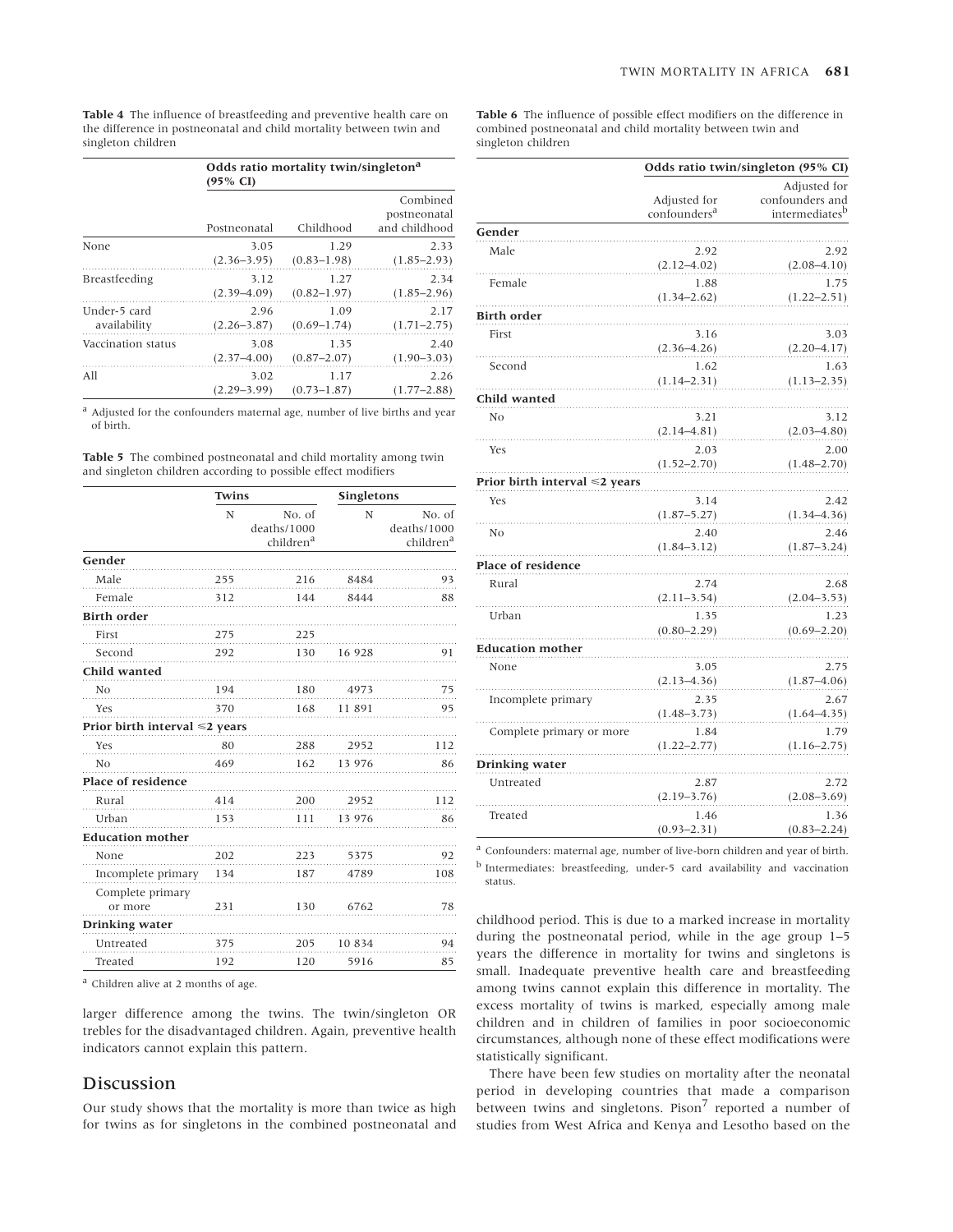**Table 4** The influence of breastfeeding and preventive health care on the difference in postneonatal and child mortality between twin and singleton children

|                      | Odds ratio mortality twin/singleton <sup>a</sup><br>(95% CI) |                 |                                           |
|----------------------|--------------------------------------------------------------|-----------------|-------------------------------------------|
|                      | Postneonatal                                                 | Childhood       | Combined<br>postneonatal<br>and childhood |
| None                 | 3.05                                                         | 1.29            | 2.33                                      |
|                      | $(2.36 - 3.95)$                                              | $(0.83 - 1.98)$ | $(1.85 - 2.93)$                           |
| <b>Breastfeeding</b> | 3.12                                                         | 1.27            | 2.34                                      |
|                      | $(2.39 - 4.09)$                                              | $(0.82 - 1.97)$ | $(1.85 - 2.96)$                           |
| Under-5 card         | 2.96                                                         | 1.09            | 2.17                                      |
| availability         | $(2.26 - 3.87)$                                              | $(0.69 - 1.74)$ | $(1.71 - 2.75)$                           |
| Vaccination status   | 3.08                                                         | 1.35            | 2.40                                      |
|                      | $(2.37 - 4.00)$                                              | $(0.87 - 2.07)$ | $(1.90 - 3.03)$                           |
| All                  | 3.02                                                         | 1.17            | 2.26                                      |
|                      | $(2.29 - 3.99)$                                              | $(0.73 - 1.87)$ | $(1.77 - 2.88)$                           |

 $^{\rm a}$  Adjusted for the confounders maternal age, number of live births and year of birth.

**Table 5** The combined postneonatal and child mortality among twin and singleton children according to possible effect modifiers

|                                     | Twins |                                                | <b>Singletons</b> |                                                |
|-------------------------------------|-------|------------------------------------------------|-------------------|------------------------------------------------|
|                                     | N     | No. of<br>deaths/1000<br>children <sup>a</sup> | N                 | No. of<br>deaths/1000<br>children <sup>a</sup> |
| Gender                              |       |                                                |                   |                                                |
| Male                                | 255   | 216                                            | 8484              | 93                                             |
| Female                              | 312   | 144                                            | 8444              | 88                                             |
| <b>Birth order</b>                  |       |                                                |                   |                                                |
| First                               | 275   | 225                                            |                   |                                                |
| Second                              | 292   | 130                                            | 16 928            | 91                                             |
| Child wanted                        |       |                                                |                   |                                                |
| N <sub>o</sub>                      | 194   | 180                                            | 4973              | 75                                             |
| Yes                                 | 370   | 168                                            | 11 891            | 95                                             |
| Prior birth interval $\leq 2$ years |       |                                                |                   |                                                |
| Yes                                 | 80    | 288                                            | 2952              | 112                                            |
| N <sub>0</sub>                      | 469   | 162                                            | 13 976            | 86                                             |
| Place of residence                  |       |                                                |                   |                                                |
| Rural                               | 414   | 200                                            | 2952              | 112                                            |
| Urban                               | 153   | 111                                            | 13 976            | 86                                             |
| <b>Education mother</b>             |       |                                                |                   |                                                |
| None                                | 202   | 223                                            | 5375              | 92                                             |
| Incomplete primary                  | 134   | 187                                            | 4789              | 108                                            |
| Complete primary                    |       |                                                |                   |                                                |
| or more                             | 231   | 130                                            | 6762              | 78                                             |
| Drinking water                      |       |                                                |                   |                                                |
| Untreated                           | 375   | 205                                            | 10 834            | 94                                             |
| Treated                             | 192   | 120                                            | 5916              | 85                                             |

<sup>a</sup> Children alive at 2 months of age.

larger difference among the twins. The twin/singleton OR trebles for the disadvantaged children. Again, preventive health indicators cannot explain this pattern.

## **Discussion**

Our study shows that the mortality is more than twice as high for twins as for singletons in the combined postneonatal and

**Table 6** The influence of possible effect modifiers on the difference in combined postneonatal and child mortality between twin and singleton children

|                                     | Odds ratio twin/singleton (95% CI)       |                                                   |  |
|-------------------------------------|------------------------------------------|---------------------------------------------------|--|
|                                     | Adjusted for<br>confounders <sup>a</sup> | Adjusted for<br>confounders and<br>intermediatesb |  |
| Gender                              |                                          |                                                   |  |
| Male                                | 2.92<br>$(2.12 - 4.02)$                  | 2.92<br>$(2.08-4.10)$                             |  |
| Female                              | 1.88<br>$(1.34 - 2.62)$                  | 1.75<br>$(1.22 - 2.51)$                           |  |
| <b>Birth order</b>                  |                                          |                                                   |  |
| First                               | 3.16<br>$(2.36 - 4.26)$                  | 3.03<br>$(2.20 - 4.17)$                           |  |
| Second                              | 1.62                                     | 1.63                                              |  |
|                                     | $(1.14 - 2.31)$                          | $(1.13 - 2.35)$                                   |  |
| Child wanted                        |                                          |                                                   |  |
| N <sub>O</sub>                      | 3.21<br>$(2.14 - 4.81)$                  | 3.12<br>$(2.03 - 4.80)$                           |  |
| Yes                                 | 2.03<br>$(1.52 - 2.70)$                  | 2.00<br>$(1.48 - 2.70)$                           |  |
| Prior birth interval $\leq 2$ years |                                          |                                                   |  |
| Yes                                 | 3.14<br>$(1.87 - 5.27)$                  | 2.42<br>$(1.34 - 4.36)$                           |  |
| N <sub>o</sub>                      | 2.40<br>$(1.84 - 3.12)$                  | 2.46<br>$(1.87 - 3.24)$                           |  |
| Place of residence                  |                                          |                                                   |  |
| Rural                               | 2.74<br>$(2.11 - 3.54)$                  | 2.68<br>$(2.04 - 3.53)$                           |  |
| Urban                               | 1.35<br>$(0.80 - 2.29)$                  | 1.23<br>$(0.69 - 2.20)$                           |  |
| <b>Education mother</b>             |                                          |                                                   |  |
| None                                | 3.05<br>$(2.13 - 4.36)$                  | 2.75<br>$(1.87 - 4.06)$                           |  |
| Incomplete primary                  | 2.35<br>$(1.48 - 3.73)$                  | 2.67<br>$(1.64 - 4.35)$                           |  |
| Complete primary or more            | 1.84<br>$(1.22 - 2.77)$                  | 1.79<br>$(1.16 - 2.75)$                           |  |
| Drinking water                      |                                          |                                                   |  |
| Untreated                           | 2.87<br>$(2.19 - 3.76)$                  | 2.72<br>$(2.08 - 3.69)$                           |  |
| Treated                             | 1.46<br>$(0.93 - 2.31)$                  | 1.36<br>$(0.83 - 2.24)$                           |  |

<sup>a</sup> Confounders: maternal age, number of live-born children and year of birth. <sup>b</sup> Intermediates: breastfeeding, under-5 card availability and vaccination status.

childhood period. This is due to a marked increase in mortality during the postneonatal period, while in the age group 1–5 years the difference in mortality for twins and singletons is small. Inadequate preventive health care and breastfeeding among twins cannot explain this difference in mortality. The excess mortality of twins is marked, especially among male children and in children of families in poor socioeconomic circumstances, although none of these effect modifications were statistically significant.

There have been few studies on mortality after the neonatal period in developing countries that made a comparison between twins and singletons. Pison<sup>7</sup> reported a number of studies from West Africa and Kenya and Lesotho based on the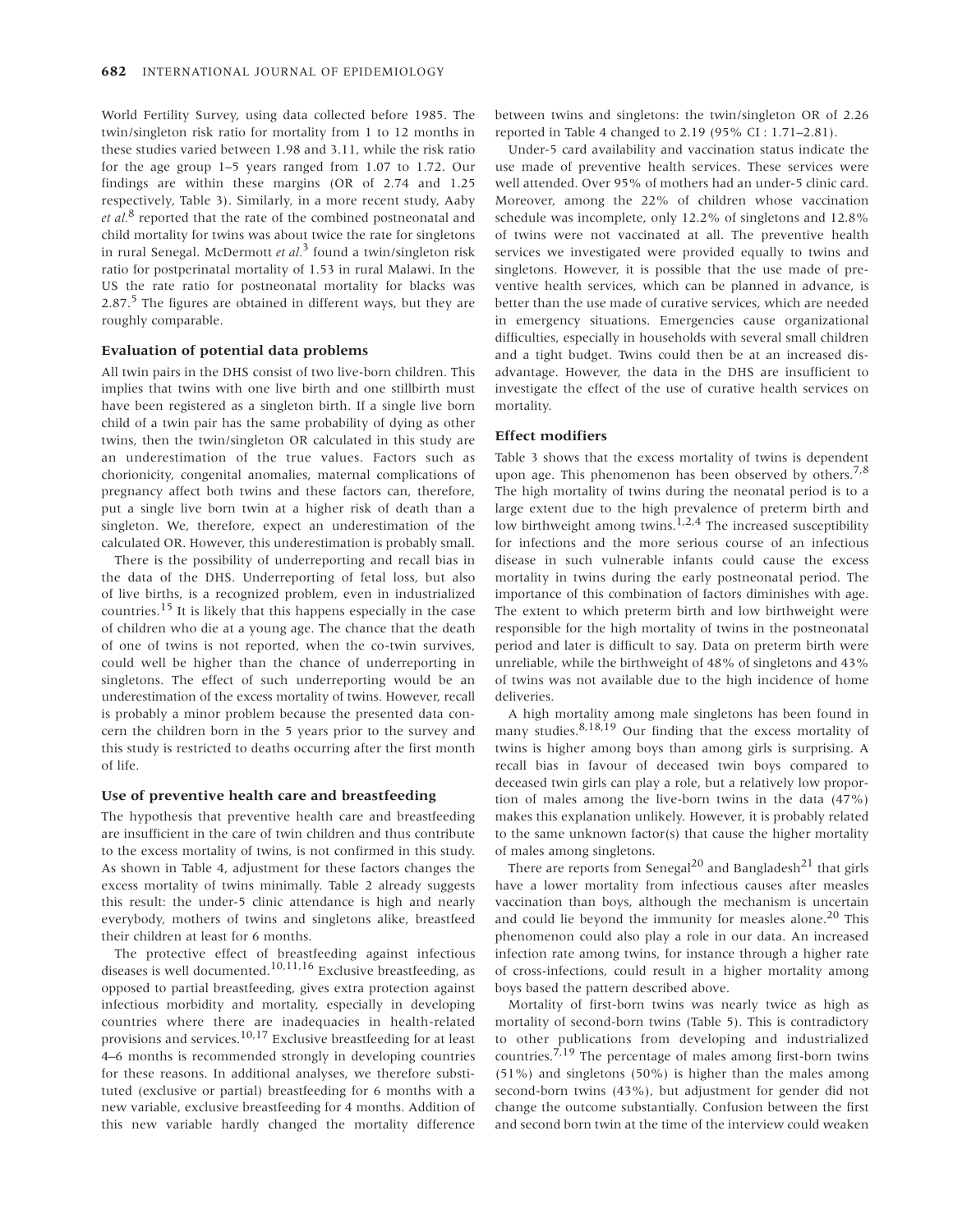World Fertility Survey, using data collected before 1985. The twin/singleton risk ratio for mortality from 1 to 12 months in these studies varied between 1.98 and 3.11, while the risk ratio for the age group 1–5 years ranged from 1.07 to 1.72. Our findings are within these margins (OR of 2.74 and 1.25 respectively, Table 3). Similarly, in a more recent study, Aaby *et al.*<sup>8</sup> reported that the rate of the combined postneonatal and child mortality for twins was about twice the rate for singletons in rural Senegal. McDermott *et al.*<sup>3</sup> found a twin/singleton risk ratio for postperinatal mortality of 1.53 in rural Malawi. In the US the rate ratio for postneonatal mortality for blacks was 2.87. $5$  The figures are obtained in different ways, but they are roughly comparable.

### **Evaluation of potential data problems**

All twin pairs in the DHS consist of two live-born children. This implies that twins with one live birth and one stillbirth must have been registered as a singleton birth. If a single live born child of a twin pair has the same probability of dying as other twins, then the twin/singleton OR calculated in this study are an underestimation of the true values. Factors such as chorionicity, congenital anomalies, maternal complications of pregnancy affect both twins and these factors can, therefore, put a single live born twin at a higher risk of death than a singleton. We, therefore, expect an underestimation of the calculated OR. However, this underestimation is probably small.

There is the possibility of underreporting and recall bias in the data of the DHS. Underreporting of fetal loss, but also of live births, is a recognized problem, even in industrialized countries.<sup>15</sup> It is likely that this happens especially in the case of children who die at a young age. The chance that the death of one of twins is not reported, when the co-twin survives, could well be higher than the chance of underreporting in singletons. The effect of such underreporting would be an underestimation of the excess mortality of twins. However, recall is probably a minor problem because the presented data concern the children born in the 5 years prior to the survey and this study is restricted to deaths occurring after the first month of life.

### **Use of preventive health care and breastfeeding**

The hypothesis that preventive health care and breastfeeding are insufficient in the care of twin children and thus contribute to the excess mortality of twins, is not confirmed in this study. As shown in Table 4, adjustment for these factors changes the excess mortality of twins minimally. Table 2 already suggests this result: the under-5 clinic attendance is high and nearly everybody, mothers of twins and singletons alike, breastfeed their children at least for 6 months.

The protective effect of breastfeeding against infectious diseases is well documented.10,11,16 Exclusive breastfeeding, as opposed to partial breastfeeding, gives extra protection against infectious morbidity and mortality, especially in developing countries where there are inadequacies in health-related provisions and services.10,17 Exclusive breastfeeding for at least 4–6 months is recommended strongly in developing countries for these reasons. In additional analyses, we therefore substituted (exclusive or partial) breastfeeding for 6 months with a new variable, exclusive breastfeeding for 4 months. Addition of this new variable hardly changed the mortality difference

between twins and singletons: the twin/singleton OR of 2.26 reported in Table 4 changed to 2.19 (95% CI : 1.71–2.81).

Under-5 card availability and vaccination status indicate the use made of preventive health services. These services were well attended. Over 95% of mothers had an under-5 clinic card. Moreover, among the 22% of children whose vaccination schedule was incomplete, only 12.2% of singletons and 12.8% of twins were not vaccinated at all. The preventive health services we investigated were provided equally to twins and singletons. However, it is possible that the use made of preventive health services, which can be planned in advance, is better than the use made of curative services, which are needed in emergency situations. Emergencies cause organizational difficulties, especially in households with several small children and a tight budget. Twins could then be at an increased disadvantage. However, the data in the DHS are insufficient to investigate the effect of the use of curative health services on mortality.

## **Effect modifiers**

Table 3 shows that the excess mortality of twins is dependent upon age. This phenomenon has been observed by others.<sup>7,8</sup> The high mortality of twins during the neonatal period is to a large extent due to the high prevalence of preterm birth and low birthweight among twins.<sup>1,2,4</sup> The increased susceptibility for infections and the more serious course of an infectious disease in such vulnerable infants could cause the excess mortality in twins during the early postneonatal period. The importance of this combination of factors diminishes with age. The extent to which preterm birth and low birthweight were responsible for the high mortality of twins in the postneonatal period and later is difficult to say. Data on preterm birth were unreliable, while the birthweight of 48% of singletons and 43% of twins was not available due to the high incidence of home deliveries.

A high mortality among male singletons has been found in many studies. $8,18,19$  Our finding that the excess mortality of twins is higher among boys than among girls is surprising. A recall bias in favour of deceased twin boys compared to deceased twin girls can play a role, but a relatively low proportion of males among the live-born twins in the data (47%) makes this explanation unlikely. However, it is probably related to the same unknown factor(s) that cause the higher mortality of males among singletons.

There are reports from Senegal<sup>20</sup> and Bangladesh<sup>21</sup> that girls have a lower mortality from infectious causes after measles vaccination than boys, although the mechanism is uncertain and could lie beyond the immunity for measles alone.<sup>20</sup> This phenomenon could also play a role in our data. An increased infection rate among twins, for instance through a higher rate of cross-infections, could result in a higher mortality among boys based the pattern described above.

Mortality of first-born twins was nearly twice as high as mortality of second-born twins (Table 5). This is contradictory to other publications from developing and industrialized countries.<sup>7,19</sup> The percentage of males among first-born twins (51%) and singletons (50%) is higher than the males among second-born twins (43%), but adjustment for gender did not change the outcome substantially. Confusion between the first and second born twin at the time of the interview could weaken